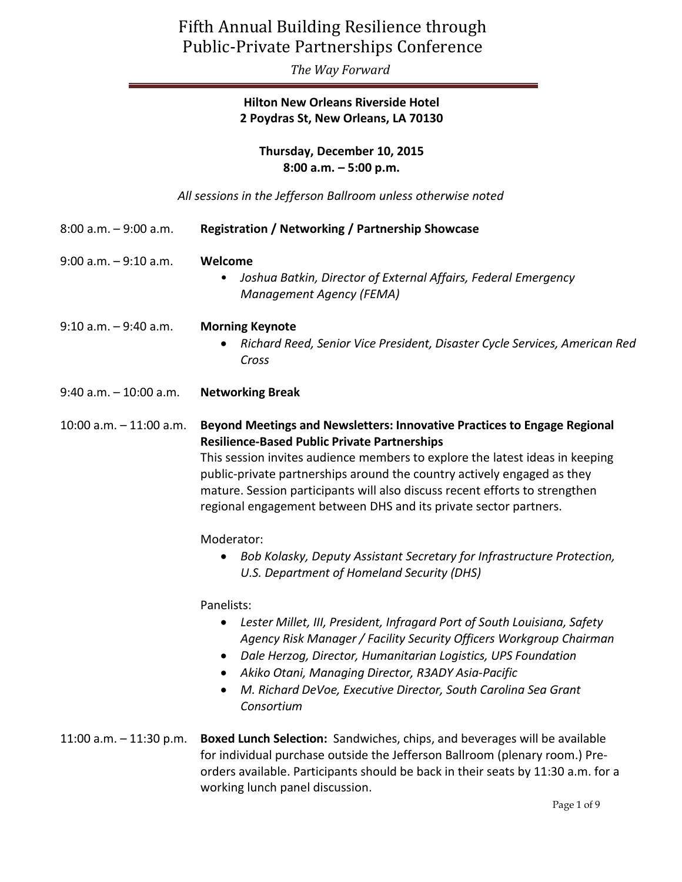*The Way Forward*

## **Hilton New Orleans Riverside Hotel 2 Poydras St, New Orleans, LA 70130**

**Thursday, December 10, 2015 8:00 a.m. – 5:00 p.m.**

*All sessions in the Jefferson Ballroom unless otherwise noted*

| 8:00 a.m. - 9:00 a.m.     | <b>Registration / Networking / Partnership Showcase</b>                                                                                                                                                                                                                                                                                                                                                                                                                                                                                                                                           |
|---------------------------|---------------------------------------------------------------------------------------------------------------------------------------------------------------------------------------------------------------------------------------------------------------------------------------------------------------------------------------------------------------------------------------------------------------------------------------------------------------------------------------------------------------------------------------------------------------------------------------------------|
| 9:00 a.m. - 9:10 a.m.     | Welcome<br>Joshua Batkin, Director of External Affairs, Federal Emergency<br><b>Management Agency (FEMA)</b>                                                                                                                                                                                                                                                                                                                                                                                                                                                                                      |
| 9:10 a.m. - 9:40 a.m.     | <b>Morning Keynote</b><br>Richard Reed, Senior Vice President, Disaster Cycle Services, American Red<br>Cross                                                                                                                                                                                                                                                                                                                                                                                                                                                                                     |
| 9:40 a.m. - 10:00 a.m.    | <b>Networking Break</b>                                                                                                                                                                                                                                                                                                                                                                                                                                                                                                                                                                           |
| 10:00 a.m. - 11:00 a.m.   | Beyond Meetings and Newsletters: Innovative Practices to Engage Regional<br><b>Resilience-Based Public Private Partnerships</b><br>This session invites audience members to explore the latest ideas in keeping<br>public-private partnerships around the country actively engaged as they<br>mature. Session participants will also discuss recent efforts to strengthen<br>regional engagement between DHS and its private sector partners.<br>Moderator:<br>Bob Kolasky, Deputy Assistant Secretary for Infrastructure Protection,<br>U.S. Department of Homeland Security (DHS)<br>Panelists: |
|                           | Lester Millet, III, President, Infragard Port of South Louisiana, Safety<br>Agency Risk Manager / Facility Security Officers Workgroup Chairman<br>Dale Herzog, Director, Humanitarian Logistics, UPS Foundation<br>$\bullet$<br>Akiko Otani, Managing Director, R3ADY Asia-Pacific<br>M. Richard DeVoe, Executive Director, South Carolina Sea Grant<br>Consortium                                                                                                                                                                                                                               |
| 11:00 a.m. $-$ 11:30 p.m. | Boxed Lunch Selection: Sandwiches, chips, and beverages will be available<br>for individual purchase outside the Jefferson Ballroom (plenary room.) Pre-<br>orders available. Participants should be back in their seats by 11:30 a.m. for a<br>working lunch panel discussion.                                                                                                                                                                                                                                                                                                                   |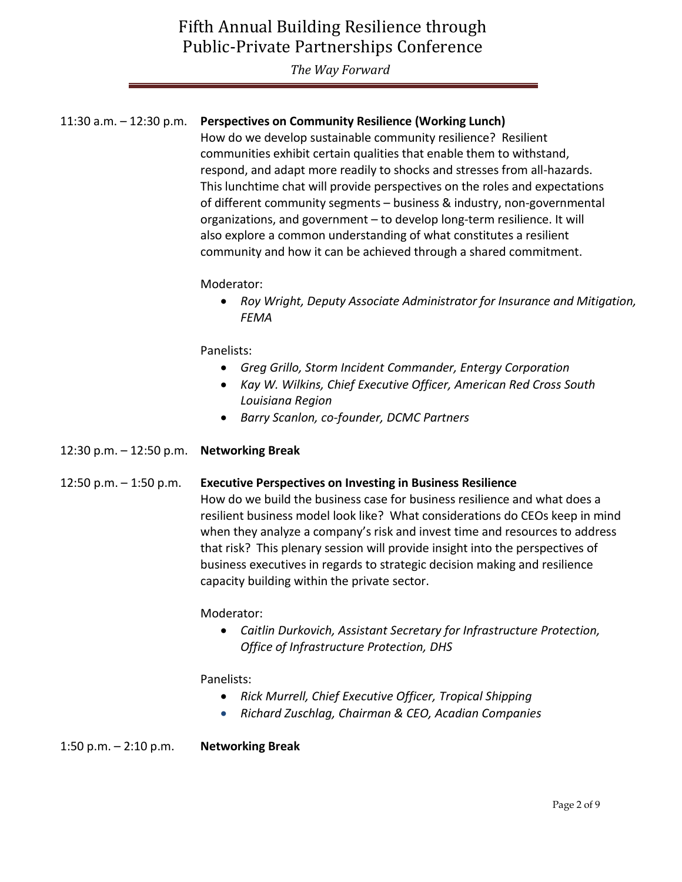*The Way Forward*

## 11:30 a.m. – 12:30 p.m. **Perspectives on Community Resilience (Working Lunch)**

How do we develop sustainable community resilience? Resilient communities exhibit certain qualities that enable them to withstand, respond, and adapt more readily to shocks and stresses from all-hazards. This lunchtime chat will provide perspectives on the roles and expectations of different community segments – business & industry, non-governmental organizations, and government – to develop long-term resilience. It will also explore a common understanding of what constitutes a resilient community and how it can be achieved through a shared commitment.

Moderator:

 *Roy Wright, Deputy Associate Administrator for Insurance and Mitigation, FEMA*

Panelists:

- *Greg Grillo, Storm Incident Commander, Entergy Corporation*
- *Kay W. Wilkins, Chief Executive Officer, American Red Cross South Louisiana Region*
- *Barry Scanlon, co-founder, DCMC Partners*
- 12:30 p.m. 12:50 p.m. **Networking Break**

### 12:50 p.m. – 1:50 p.m. **Executive Perspectives on Investing in Business Resilience**

How do we build the business case for business resilience and what does a resilient business model look like? What considerations do CEOs keep in mind when they analyze a company's risk and invest time and resources to address that risk? This plenary session will provide insight into the perspectives of business executives in regards to strategic decision making and resilience capacity building within the private sector.

Moderator:

 *[Caitlin Durkovich, Assistant Secretary](http://www.dhs.gov/person/caitlin-durkovich) for Infrastructure Protection, [Office of Infrastructure Protection, DHS](http://www.dhs.gov/person/caitlin-durkovich)*

Panelists:

- *[Rick Murrell, Chief Executive Officer, Tropical Shipping](http://internationaldisasterconference.com/speakers/rick-murrell/)*
- *Richard Zuschlag, Chairman & CEO, Acadian Companies*

1:50 p.m. – 2:10 p.m. **Networking Break**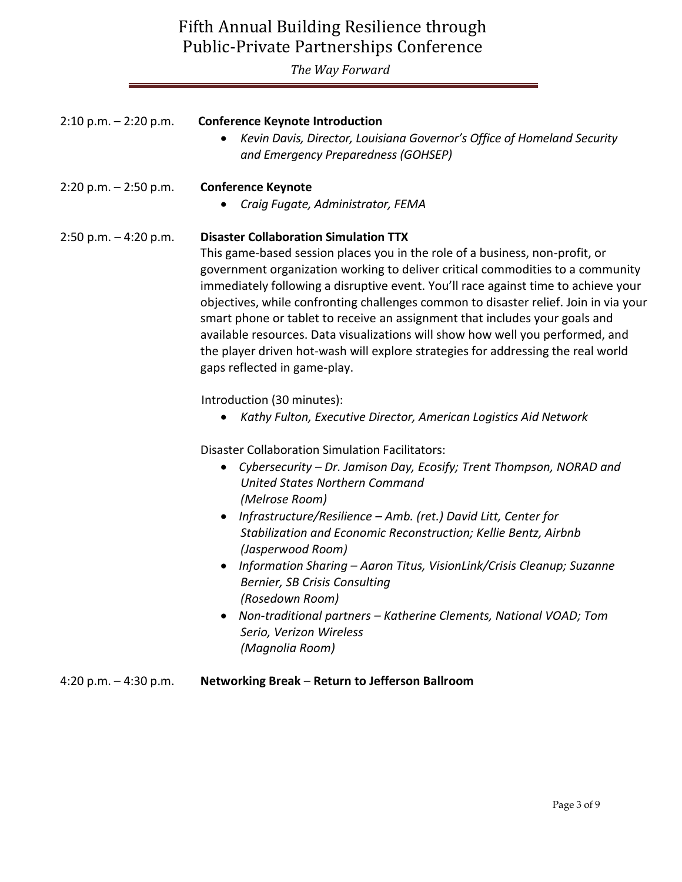*The Way Forward*

| $2:10$ p.m. $-2:20$ p.m. | <b>Conference Keynote Introduction</b><br>Kevin Davis, Director, Louisiana Governor's Office of Homeland Security<br>$\bullet$<br>and Emergency Preparedness (GOHSEP)                                                                                                                                                                                                                                                                                                                                                                                                                                                                                                                                                                                                                                                                                      |
|--------------------------|------------------------------------------------------------------------------------------------------------------------------------------------------------------------------------------------------------------------------------------------------------------------------------------------------------------------------------------------------------------------------------------------------------------------------------------------------------------------------------------------------------------------------------------------------------------------------------------------------------------------------------------------------------------------------------------------------------------------------------------------------------------------------------------------------------------------------------------------------------|
| $2:20$ p.m. $-2:50$ p.m. | <b>Conference Keynote</b><br>Craig Fugate, Administrator, FEMA<br>$\bullet$                                                                                                                                                                                                                                                                                                                                                                                                                                                                                                                                                                                                                                                                                                                                                                                |
| 2:50 p.m. $-4:20$ p.m.   | <b>Disaster Collaboration Simulation TTX</b><br>This game-based session places you in the role of a business, non-profit, or<br>government organization working to deliver critical commodities to a community<br>immediately following a disruptive event. You'll race against time to achieve your<br>objectives, while confronting challenges common to disaster relief. Join in via your<br>smart phone or tablet to receive an assignment that includes your goals and<br>available resources. Data visualizations will show how well you performed, and<br>the player driven hot-wash will explore strategies for addressing the real world<br>gaps reflected in game-play.<br>Introduction (30 minutes):<br>Kathy Fulton, Executive Director, American Logistics Aid Network<br>$\bullet$<br><b>Disaster Collaboration Simulation Facilitators:</b> |
|                          | Cybersecurity - Dr. Jamison Day, Ecosify; Trent Thompson, NORAD and<br>$\bullet$<br><b>United States Northern Command</b><br>(Melrose Room)<br>Infrastructure/Resilience – Amb. (ret.) David Litt, Center for<br>$\bullet$<br>Stabilization and Economic Reconstruction; Kellie Bentz, Airbnb<br>(Jasperwood Room)<br>Information Sharing - Aaron Titus, VisionLink/Crisis Cleanup; Suzanne<br>Bernier, SB Crisis Consulting<br>(Rosedown Room)<br>• Non-traditional partners - Katherine Clements, National VOAD; Tom<br>Serio, Verizon Wireless<br>(Magnolia Room)                                                                                                                                                                                                                                                                                       |
| 4:20 p.m. $-$ 4:30 p.m.  | Networking Break - Return to Jefferson Ballroom                                                                                                                                                                                                                                                                                                                                                                                                                                                                                                                                                                                                                                                                                                                                                                                                            |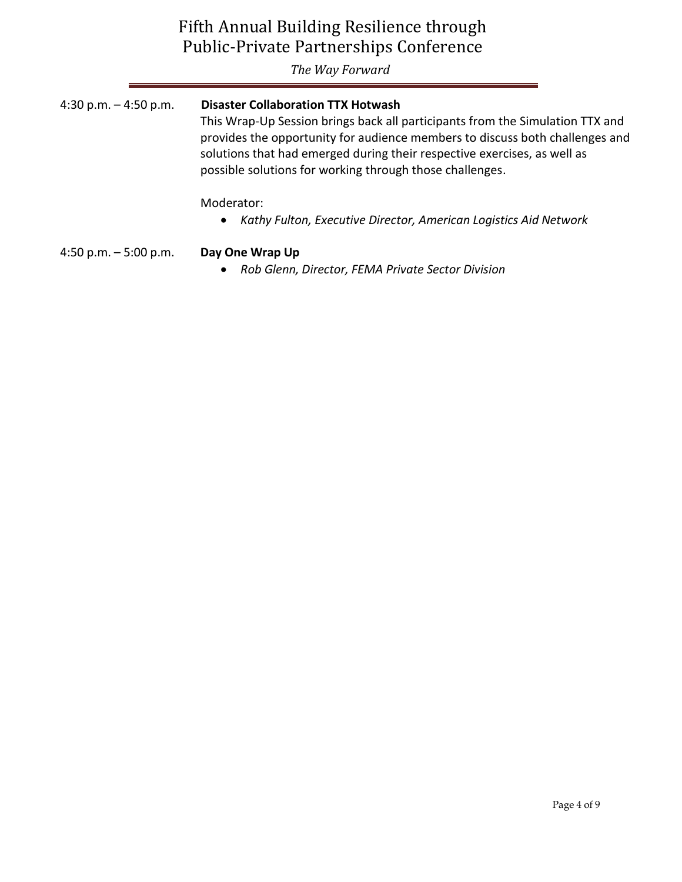*The Way Forward*

| 4:30 p.m. $-$ 4:50 p.m. | <b>Disaster Collaboration TTX Hotwash</b><br>This Wrap-Up Session brings back all participants from the Simulation TTX and<br>provides the opportunity for audience members to discuss both challenges and<br>solutions that had emerged during their respective exercises, as well as<br>possible solutions for working through those challenges. |
|-------------------------|----------------------------------------------------------------------------------------------------------------------------------------------------------------------------------------------------------------------------------------------------------------------------------------------------------------------------------------------------|
|                         | Moderator:<br>• Kathy Fulton, Executive Director, American Logistics Aid Network                                                                                                                                                                                                                                                                   |
| 4:50 p.m. $-5:00$ p.m.  | Day One Wrap Up<br>Rob Glenn, Director, FEMA Private Sector Division                                                                                                                                                                                                                                                                               |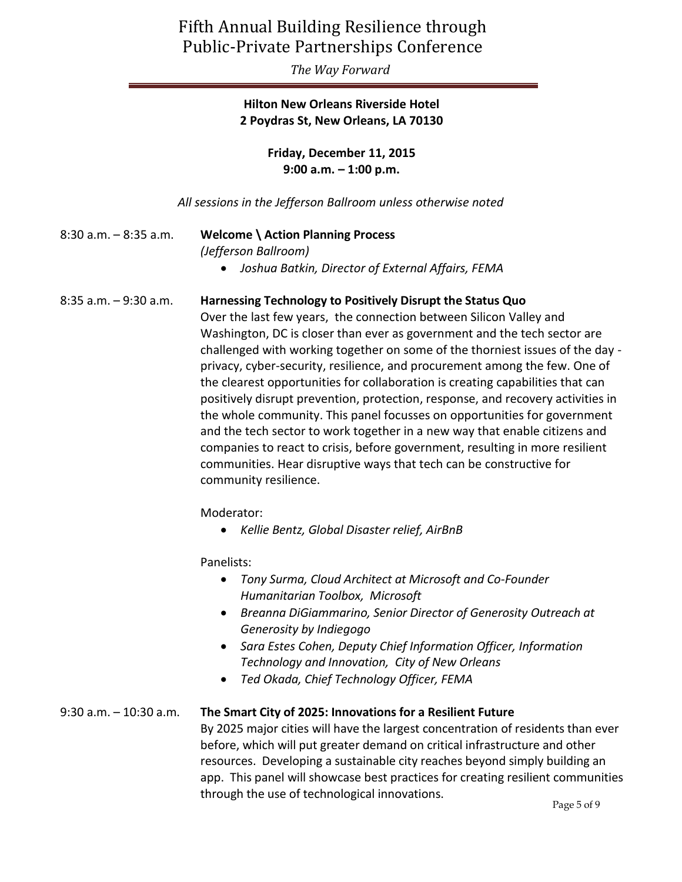*The Way Forward*

## **Hilton New Orleans Riverside Hotel 2 Poydras St, New Orleans, LA 70130**

**Friday, December 11, 2015 9:00 a.m. – 1:00 p.m.**

*All sessions in the Jefferson Ballroom unless otherwise noted*

8:30 a.m. – 8:35 a.m. **Welcome \ Action Planning Process** *(Jefferson Ballroom) Joshua Batkin, Director of External Affairs, FEMA*

8:35 a.m. – 9:30 a.m. **Harnessing Technology to Positively Disrupt the Status Quo**

Over the last few years, the connection between Silicon Valley and Washington, DC is closer than ever as government and the tech sector are challenged with working together on some of the thorniest issues of the day privacy, cyber-security, resilience, and procurement among the few. One of the clearest opportunities for collaboration is creating capabilities that can positively disrupt prevention, protection, response, and recovery activities in the whole community. This panel focusses on opportunities for government and the tech sector to work together in a new way that enable citizens and companies to react to crisis, before government, resulting in more resilient communities. Hear disruptive ways that tech can be constructive for community resilience.

Moderator:

*Kellie Bentz, Global Disaster relief, AirBnB*

Panelists:

- *Tony Surma, Cloud Architect at Microsoft and Co-Founder Humanitarian Toolbox, Microsoft*
- *Breanna DiGiammarino, Senior Director of Generosity Outreach at Generosity by Indiegogo*
- *Sara Estes Cohen, Deputy Chief Information Officer, Information Technology and Innovation, City of New Orleans*
- *Ted Okada, Chief Technology Officer, FEMA*

### 9:30 a.m. – 10:30 a.m. **The Smart City of 2025: Innovations for a Resilient Future**

By 2025 major cities will have the largest concentration of residents than ever before, which will put greater demand on critical infrastructure and other resources. Developing a sustainable city reaches beyond simply building an app. This panel will showcase best practices for creating resilient communities through the use of technological innovations.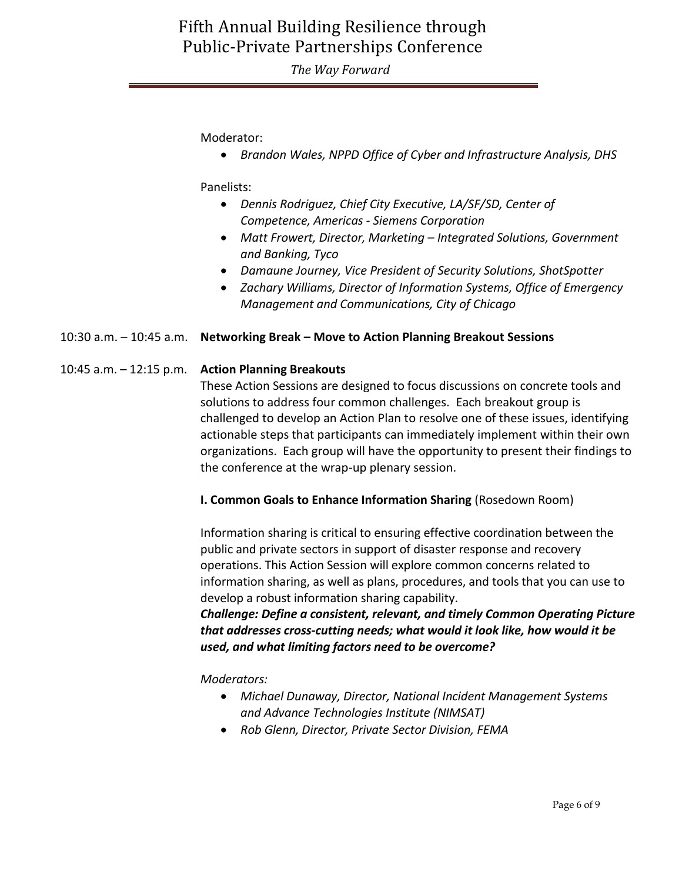*The Way Forward*

Moderator:

*Brandon Wales, NPPD Office of Cyber and Infrastructure Analysis, DHS*

Panelists:

- *Dennis Rodriguez, Chief City Executive, LA/SF/SD, Center of Competence, Americas - Siemens Corporation*
- *Matt Frowert, Director, Marketing – Integrated Solutions, Government and Banking, Tyco*
- *Damaune Journey, Vice President of Security Solutions, ShotSpotter*
- *Zachary Williams, Director of Information Systems, Office of Emergency Management and Communications, City of Chicago*

### 10:30 a.m. – 10:45 a.m. **Networking Break – Move to Action Planning Breakout Sessions**

#### 10:45 a.m. – 12:15 p.m. **Action Planning Breakouts**

These Action Sessions are designed to focus discussions on concrete tools and solutions to address four common challenges. Each breakout group is challenged to develop an Action Plan to resolve one of these issues, identifying actionable steps that participants can immediately implement within their own organizations. Each group will have the opportunity to present their findings to the conference at the wrap-up plenary session.

#### **I. Common Goals to Enhance Information Sharing** (Rosedown Room)

Information sharing is critical to ensuring effective coordination between the public and private sectors in support of disaster response and recovery operations. This Action Session will explore common concerns related to information sharing, as well as plans, procedures, and tools that you can use to develop a robust information sharing capability.

*Challenge: Define a consistent, relevant, and timely Common Operating Picture that addresses cross-cutting needs; what would it look like, how would it be used, and what limiting factors need to be overcome?*

*Moderators:* 

- *[Michael Dunaway, Director, National Incident Management Systems](http://www.nimsat.org/about-us/our-staff/executive-staff)  [and Advance Technologies Institute](http://www.nimsat.org/about-us/our-staff/executive-staff) (NIMSAT)*
- *Rob Glenn, Director, Private Sector Division, FEMA*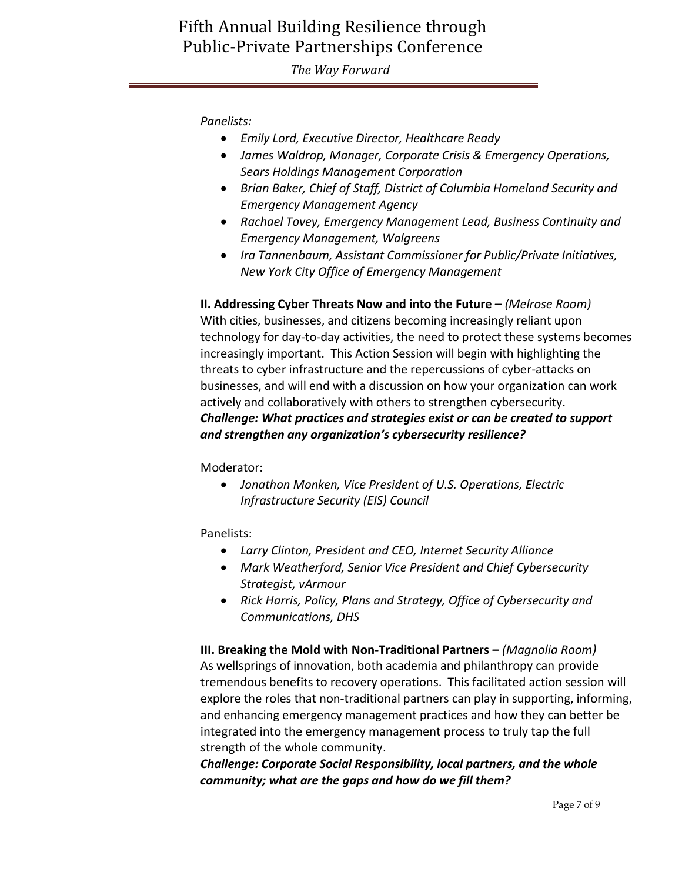*The Way Forward*

*Panelists:*

- *Emily Lord, Executive Director, Healthcare Ready*
- *James Waldrop, Manager, Corporate Crisis & Emergency Operations, Sears Holdings Management Corporation*
- *Brian Baker, Chief of Staff, District of Columbia Homeland Security and Emergency Management Agency*
- *Rachael Tovey, Emergency Management Lead, Business Continuity and Emergency Management, Walgreens*
- *Ira Tannenbaum, Assistant Commissioner for Public/Private Initiatives, New York City Office of Emergency Management*

**II. Addressing Cyber Threats Now and into the Future –** *(Melrose Room)* With cities, businesses, and citizens becoming increasingly reliant upon technology for day-to-day activities, the need to protect these systems becomes increasingly important. This Action Session will begin with highlighting the threats to cyber infrastructure and the repercussions of cyber-attacks on businesses, and will end with a discussion on how your organization can work actively and collaboratively with others to strengthen cybersecurity. *Challenge: What practices and strategies exist or can be created to support and strengthen any organization's cybersecurity resilience?*

Moderator:

 *[Jonathon Monken, Vice President of U.S. Operations, Electric](http://www.eiscouncil.com/english/About/about_board.asp?boardId=84)  [Infrastructure Security \(EIS\) Council](http://www.eiscouncil.com/english/About/about_board.asp?boardId=84)*

Panelists:

- *[Larry Clinton, President and CEO, Internet Security Alliance](http://www.isalliance.org/larry-clinton/)*
- *[Mark Weatherford, Senior Vice President and Chief Cybersecurity](http://chertoffgroup.com/bios/mark-weatherford.php)  [Strategist, vArmour](http://chertoffgroup.com/bios/mark-weatherford.php)*
- *Rick Harris, Policy, Plans and Strategy, Office of Cybersecurity and Communications, DHS*

**III. Breaking the Mold with Non-Traditional Partners –** *(Magnolia Room)* As wellsprings of innovation, both academia and philanthropy can provide tremendous benefits to recovery operations. This facilitated action session will explore the roles that non-traditional partners can play in supporting, informing, and enhancing emergency management practices and how they can better be integrated into the emergency management process to truly tap the full strength of the whole community.

*Challenge: Corporate Social Responsibility, local partners, and the whole community; what are the gaps and how do we fill them?*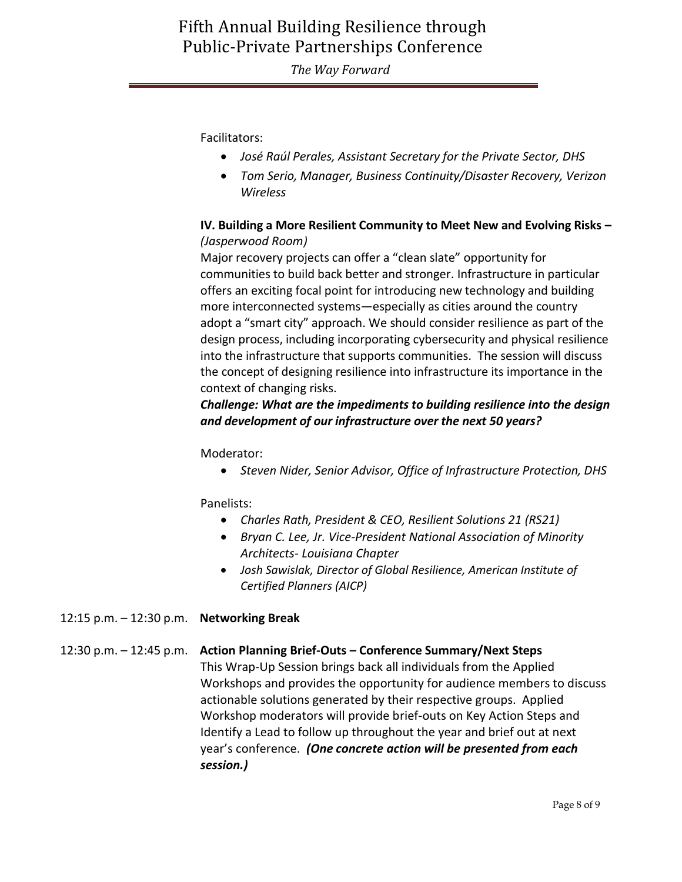*The Way Forward*

Facilitators:

- *José Raúl Perales, Assistant Secretary for the Private Sector, DHS*
- *Tom Serio, Manager, Business Continuity/Disaster Recovery, Verizon Wireless*

### **IV. Building a More Resilient Community to Meet New and Evolving Risks –** *(Jasperwood Room)*

Major recovery projects can offer a "clean slate" opportunity for communities to build back better and stronger. Infrastructure in particular offers an exciting focal point for introducing new technology and building more interconnected systems—especially as cities around the country adopt a "smart city" approach. We should consider resilience as part of the design process, including incorporating cybersecurity and physical resilience into the infrastructure that supports communities. The session will discuss the concept of designing resilience into infrastructure its importance in the context of changing risks.

### *Challenge: What are the impediments to building resilience into the design and development of our infrastructure over the next 50 years?*

### Moderator:

*Steven Nider, Senior Advisor, Office of Infrastructure Protection, DHS* 

### Panelists:

- *Charles Rath, President & CEO, Resilient Solutions 21 (RS21)*
- *Bryan C. Lee, Jr. Vice-President National Association of Minority Architects- Louisiana Chapter*
- *Josh Sawislak, Director of Global Resilience, American Institute of Certified Planners (AICP)*
- 12:15 p.m. 12:30 p.m. **Networking Break**

### 12:30 p.m. – 12:45 p.m. **Action Planning Brief-Outs – Conference Summary/Next Steps**

This Wrap-Up Session brings back all individuals from the Applied Workshops and provides the opportunity for audience members to discuss actionable solutions generated by their respective groups. Applied Workshop moderators will provide brief-outs on Key Action Steps and Identify a Lead to follow up throughout the year and brief out at next year's conference. *(One concrete action will be presented from each session.)*